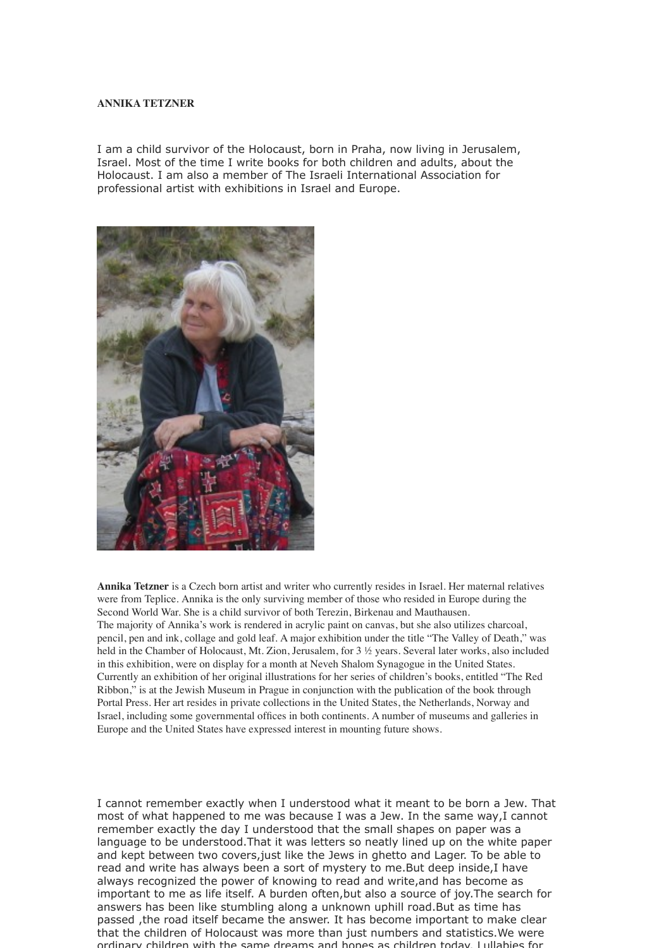## **ANNIKA TETZNER**

I am a child survivor of the Holocaust, born in Praha, now living in Jerusalem, Israel. Most of the time I write books for both children and adults, about the Holocaust. I am also a member of The Israeli International Association for professional artist with exhibitions in Israel and Europe.



**Annika Tetzner** is a Czech born artist and writer who currently resides in Israel. Her maternal relatives were from Teplice. Annika is the only surviving member of those who resided in Europe during the Second World War. She is a child survivor of both Terezin, Birkenau and Mauthausen. The majority of Annika's work is rendered in acrylic paint on canvas, but she also utilizes charcoal, pencil, pen and ink, collage and gold leaf. A major exhibition under the title "The Valley of Death," was held in the Chamber of Holocaust, Mt. Zion, Jerusalem, for 3 ½ years. Several later works, also included in this exhibition, were on display for a month at Neveh Shalom Synagogue in the United States. Currently an exhibition of her original illustrations for her series of children's books, entitled "The Red Ribbon," is at the Jewish Museum in Prague in conjunction with the publication of the book through Portal Press. Her art resides in private collections in the United States, the Netherlands, Norway and Israel, including some governmental offices in both continents. A number of museums and galleries in Europe and the United States have expressed interest in mounting future shows.

I cannot remember exactly when I understood what it meant to be born a Jew. That most of what happened to me was because I was a Jew. In the same way,I cannot remember exactly the day I understood that the small shapes on paper was a language to be understood.That it was letters so neatly lined up on the white paper and kept between two covers,just like the Jews in ghetto and Lager. To be able to read and write has always been a sort of mystery to me.But deep inside,I have always recognized the power of knowing to read and write,and has become as important to me as life itself. A burden often,but also a source of joy.The search for answers has been like stumbling along a unknown uphill road.But as time has passed ,the road itself became the answer. It has become important to make clear that the children of Holocaust was more than just numbers and statistics.We were ordinary children with the same dreams and hopes as children today. Lullabies for